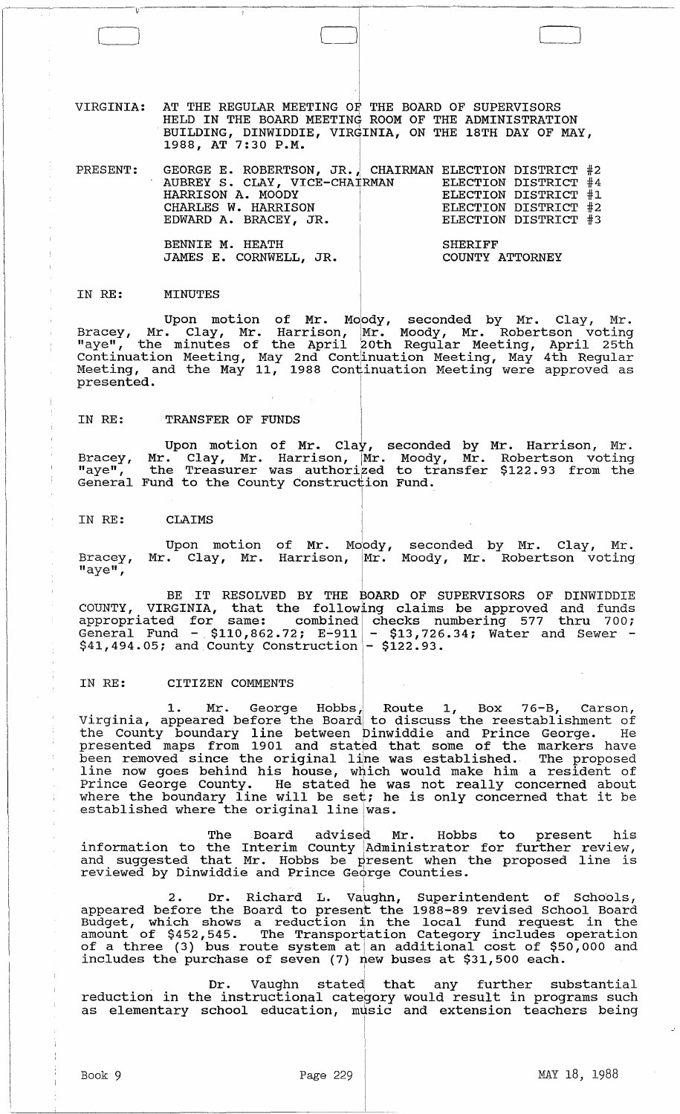VIRGINIA: AT THE REGULAR MEETING OF THE BOARD OF SUPERVISORS HELD IN THE BOARD MEETING ROOM OF THE ADMINISTRATION BUILDING, DINWIDDIE, VIRGINIA, ON THE 18TH DAY OF MAY,  $1988$ , AT 7:30 P.M.

| PRESENT: GEORGE E. ROBERTSON, JR. CHAIRMAN ELECTION DISTRICT #2 |                                   |                      |  |
|-----------------------------------------------------------------|-----------------------------------|----------------------|--|
| AUBREY S. CLAY, VICE-CHAIRMAN ELECTION DISTRICT #4              |                                   |                      |  |
| HARRISON A. MOODY                                               |                                   | ELECTION DISTRICT #1 |  |
| CHARLES W. HARRISON                                             |                                   | ELECTION DISTRICT #2 |  |
| EDWARD A. BRACEY, JR.                                           |                                   | ELECTION DISTRICT #3 |  |
| BENNIE M. HEATH<br>JAMES E. CORNWELL, JR.                       | <b>SHERIFF</b><br>COUNTY ATTORNEY |                      |  |

#### IN RE: MINUTES

 $\mathfrak{v}^-$ 

Upon motion of Mr. Moody, seconded by Mr. Clay, Mr. Bracey, Mr. Clay, Mr. Harrison, Mr. Moody, Mr. Robertson voting "aye", the minutes of the April 20th Regular Meeting, April 25th continuation Meeting, May 2nd cont1inuation Meeting, May 4th Regular Meeting, and the May 11, 1988 contiinuation Meeting were approved as presented.

#### IN RE: TRANSFER OF FUNDS

Bracey, "aye", General Fund to the County Construction Fund. Upon motion of Mr. Clay, seconded by Mr. Harrison, Mr. Mr. Clay, Mr. Harrison, Mr. Moody, Mr. Robertson voting the Treasurer was authorized to transfer \$122.93 from the Fund to the County Construction Fund.

I

#### IN RE: **CLAIMS**

Bracey, "aye", Upon motion of Mr. Moody, seconded by Mr. Clay, Mr. Mr. Clay, Mr. Harrison, Mr. Moody, Mr. Robertson voting

BE IT RESOLVED BY THE BOARD OF SUPERVISORS OF DINWIDDIE COUNTY, VIRGINIA, that the following claims be approved and funds appropriated for same: combined checks numbering 577 thru 700;<br>General Fund - \$110,862.72; E-911 - \$13,726.34; Water and Sewer - $$41,494.05$ ; and County Construction -  $$122.93$ .

## IN RE: CITIZEN COMMENTS

1. Mr. George Hobbs, Route 1, Box 76-B, Carson, Virginia, appeared before the Board to discuss the reestablishment of the county boundary line between Dinwiddie and Prince George. He presented maps from 1901 and stated that some of the markers have been removed since the original liine was established. The proposed line now goes behind his house, which would make him a resident of Prince George County. He stated he was not really concerned about where the boundary line will be set; he is only concerned that it be established where the original line was.

The Board advised Mr. Hobbs to present his information to the Interim County [Administrator for further review, and suggested that Mr. Hobbs be present when the proposed line is and buggebood onde interests by probene when . I

2. Dr. Richard L. Vaughn, Superintendent of Schools, appeared before the Board to present the 1988-89 revised School Board appeared before the board to present the 1988-89 revised behoor board amount of \$452,545. The Transportation Category includes operation amount of 9452,545. The framsportation category includes operation<br>of a three (3) bus route system at an additional cost of \$50,000 and includes the purchase of seven (7) new buses at \$31,500 each. I

Dr. Vaughn stated that any further substantial reduction in the instructional category would result in programs such as elementary school education, music and extension teachers being

> I I

 $\Box$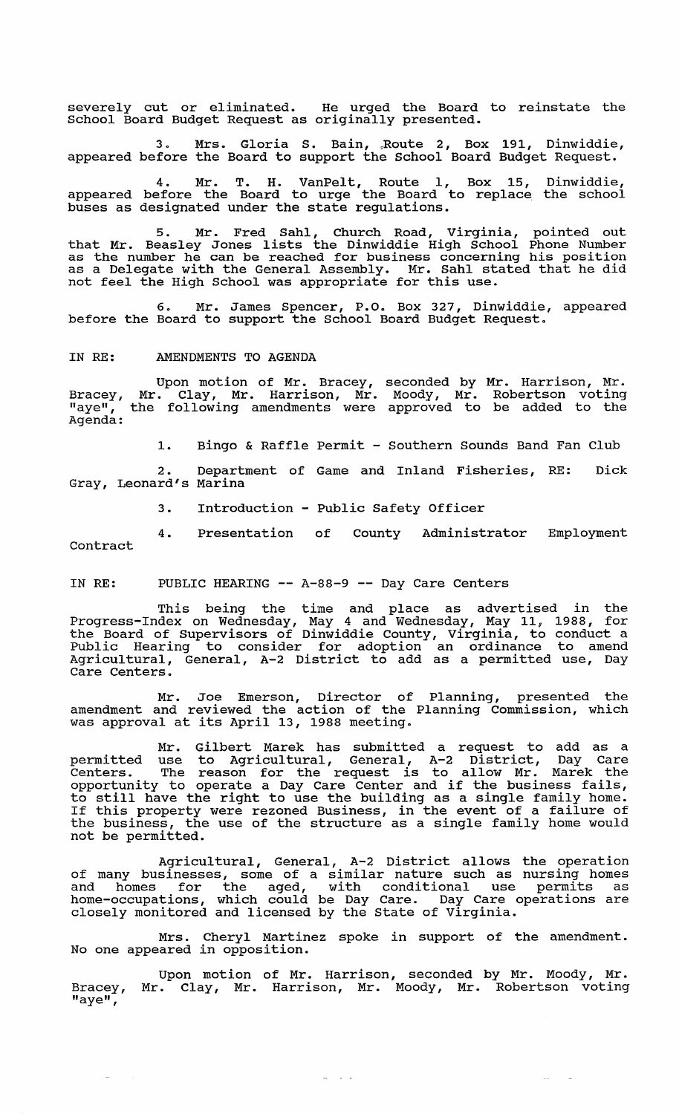severely cut or eliminated. He urged the Board to reinstate the School Board Budget Request as originally presented.

3. Mrs. Gloria S. Bain, Route 2, Box 191, Dinwiddie, appeared before the Board to support the School Board Budget Request.

4. Mr. T. H. VanPelt, Route I, Box 15, Dinwiddie, appeared before the Board to urge the Board to replace the school buses as designated under the state regulations.

5. Mr. Fred Sahl, Church Road, Virginia, pointed out that Mr. Beasley Jones lists the Dinwiddie High School Phone Number as the number he can be reached for business concerning his position as a Delegate with the General Assembly. Mr. Sahl stated that he did ab a beregate with the denotar hobelisty. In: band be.<br>not feel the High School was appropriate for this use.

6. Mr. James Spencer, P.O. Box 327, Dinwiddie, appeared before the Board to support the School Board Budget Request.

#### IN RE: AMENDMENTS TO AGENDA

Bracey, "aye", Agenda: Upon motion of Mr. Bracey, Mr. Clay, Mr. Harrison, Mr. the following amendments were seconded by Mr. Harrison, Mr. Moody, Mr. Robertson voting approved to be added to the

1. Bingo & Raffle Permit - Southern Sounds Band Fan Club

2. Department of Game and Inland Fisheries, RE: Dick Gray, Leonard's Marina

3. Introduction - Public Safety Officer

4. Presentation of County Administrator Employment contract

IN RE: PUBLIC HEARING -- A-88-9 -- Day Care Centers

This being the time and place as advertised in the Progress-Index on Wednesday, May 4 and Wednesday, May 11, 1988, for the Board of supervisors of Dinwiddie County, Virginia, to conduct a Public Hearing to consider for adoption an ordinance to amend Agricultural, General, A-2 District to add as a permitted use, Day Care Centers.

Mr. Joe Emerson, Director of Planning, presented the amendment and reviewed the action of the Planning Commission, which was approval at its April 13, 1988 meeting.

Mr. Gilbert Marek has submitted a request to add as a permitted use to Agricultural, General, A-2 District, Day Care Centers. The reason for the request is to allow Mr. Marek the opportunity to operate a Day Care Center and if the business fails, opportunity to operate a Day care center and if the business fails,<br>to still have the right to use the building as a single family home. If this property were rezoned Business, in the event of a failure of the business, the use of the structure as a single family home would not be permitted.

Agricultural, General, A-2 District allows the operation of many businesses, some of a similar nature such as nursing homes and homes for the aged, with conditional use permits as home-occupations, which could be Day Care. Day Care operations are closely monitored and licensed by the State of Virginia.

Cheryl Martinez spoke in support of the amendment. Mrs. Cheryl Martin<br>No one appeared in opposition.

Bracey, "aye", Upon motion of Mr. Harrison, seconded by Mr. Moody, Mr. Mr. Clay, Mr. Harrison, Mr. Moody, Mr. Robertson voting

 $\Delta\omega_{\rm{eff}}=2.7\,\mu$ 

 $\sim 10^{-10}$  and  $\sim 10^{-10}$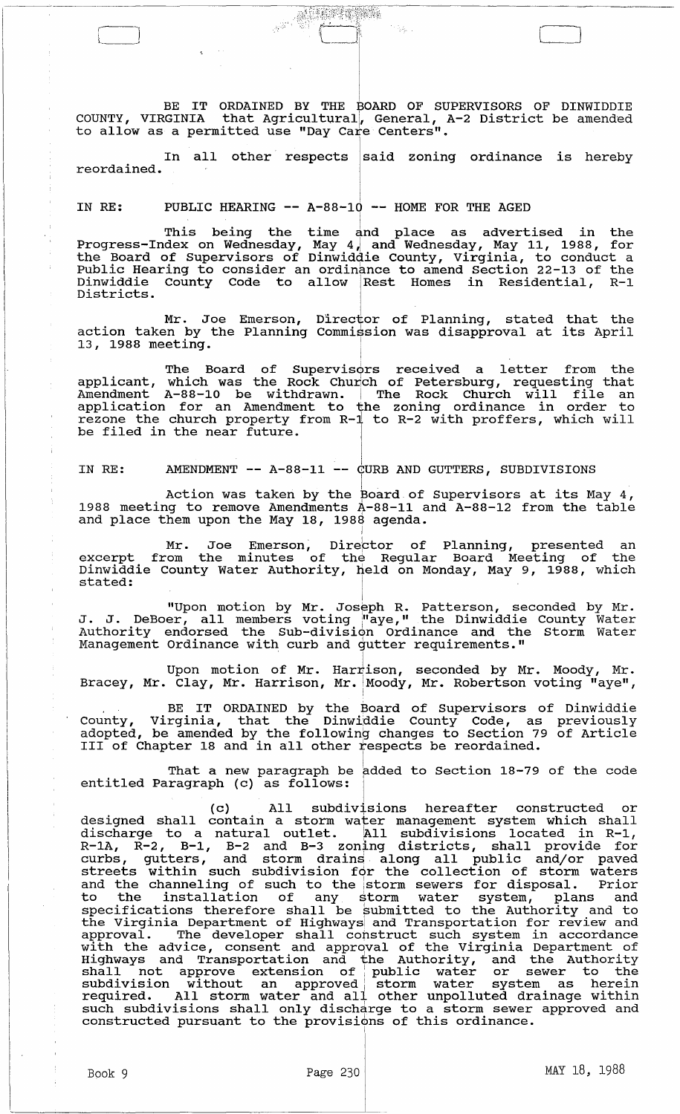BE IT ORDAINED BY THE BOARD OF SUPERVISORS OF DINWIDDIE COUNTY, VIRGINIA that Agricultural, General, A-2 District be amended to allow as a permitted use "Day Care Centers".

 $\Box$ 

/--l-~--:.-:,:i,

In all other respects said zoning ordinance is hereby reordained.

## IN RE: PUBLIC HEARING -- A-88-10 -- HOME FOR THE AGED

 $\mathcal{L}_\mathcal{L}$  is the difference of the content of the difference of the content of the difference of the content of the content of the content of the content of the content of the content of the content of the content of

This being the time  $\frac{1}{4}$ nd place as advertised in the Progress-Index on Wednesday, May 4, and Wednesday, May 11, 1988, for the Board of supervisors of Dinwiddie County, Virginia, to conduct a Public Hearing to consider an ordinance to amend section 22-13 of the Dinwiddie County Code to allow IRest Homes in Residential, R-1 Districts.

Mr. Joe Emerson, Director of Planning, stated that the action taken by the Planning Commission was disapproval at its April 13, 1988 meeting.

The Board of Supervisors received a letter from the applicant, which was the Rock Church of Petersburg, requesting that Amendment A-88-10 be withdrawn. I The Rock Church will file an application for an Amendment to the zoning ordinance in order to rezone the church property from *R-i* to R-2 with proffers, which will be filed in the near future. CONTENT CONTROLLER TO DETERMINENT -- A-88-11 -- CURB AND GUTTERS, SUBDIVISIONS<br>NDMENT -- A-88-11 -- CURB AND GUTTERS, SUBDIVISIONS<br>NDMENT -- A-88-11 -- CURB AND GUTTERS, SUBDIVISIONS<br>NDMENT -- A-88-11 -- CURB AND GUTTERS,

AMENDMENT -- A-88-11 -- CURB AND GUTTERS, SUBDIVISIONS IN RE:

Action was taken by the  $\frac{}{}$  poard of Supervisors at its May 4, 1988 meeting to remove Amendments  $A-88-11$  and  $A-88-12$  from the table and place them upon the May 18, 1988 agenda.

I

Mr. Joe Emerson, Dire<mark>ctor of Planning, presented an</mark> excerpt from the minutes of the Regular Board Meeting of the Dinwiddie County Water Authority, held on Monday, May 9, 1988, which stated: <sup>I</sup>

"Upon motion by Mr. Joseph R. Patterson, seconded by Mr. J. J. DeBoer, all members voting j"aye," the Dinwiddie County Water authority endorsed the Sub-division Ordinance and the Storm Water Management Ordinance with curb and gutter requirements."

Upon motion of Mr. Harrison, seconded by Mr. Moody, Mr. Bracey, Mr. Clay, Mr. Harrison, Mr. Moody, Mr. Robertson voting "aye",

BE IT ORDAINED by the Board of supervisors of Dinwiddie County, Virginia, that the Dinwiddie County Code, as previously adopted, be amended by the following changes to section 79 of Article adopted, be amended by the forfowing changes to section 73<br>III of Chapter 18 and in all other respects be reordained.

That a new paragraph be added to Section 18-79 of the code entitled Paragraph (c) as follows:

(c) All subdivisions hereafter constructed or designed shall contain a storm water management system which shall assigned bhair soneain a beer water management bybeem which bhair R-1A, R-2, B-1, B-2 and B-3 zoning districts, shall provide for k-in, k-2, b-1, b-2 and b-3 zoning discricts, shart provide for<br>curbs, gutters, and storm drains along all public and/or paved streets within such subdivision for the collection of storm waters and the channeling of such to the istorm sewers for disposal. Prior and the thank-ring or such to the storm sewers for disposar. This is specifications therefore shall be submitted to the Authority and to the Virginia Department of Highwaysi and Transportation for review and approval. The developer shall construct such system in accordance with the advice, consent and approval of the Virginia Department of Highways and Transportation and the Authority, and the Authority shall not approve extension of: public water or sewer to the subdivision without an approved storm water system as herein subdivision without an approved storm water system as herein<br>required. All storm water and all other unpolluted drainage within regarica. Air Scoim watch and air other anportated drainage within such subdivisions shall only discharge to a storm sewer<br>constructed pursuant to the provisions of this ordinance.

I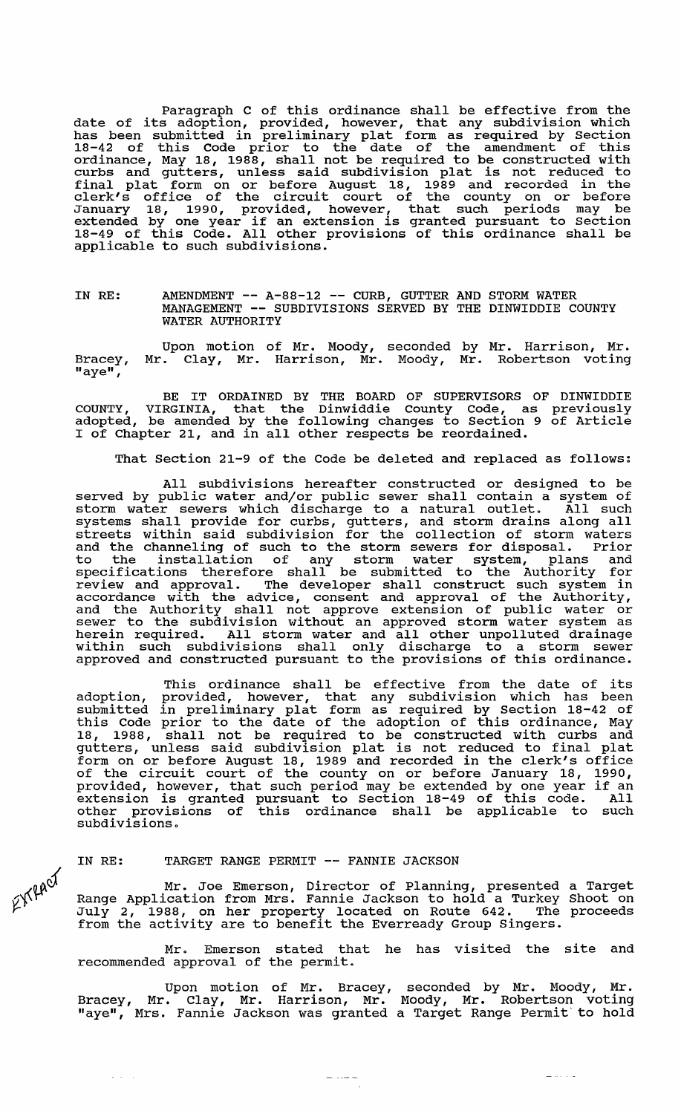Paragraph C of this ordinance shall be effective from the date of its adoption, provided, however, that any subdivision which has been submitted in preliminary plat form as required by Section 18-42 of this Code prior to the date of the amendment of this ordinance, May 18, 1988, shall not be required to be constructed with curbs and gutters, unless said subdivision plat is not reduced to final plat form on or before August 18, 1989 and recorded in the clerk's office of the circuit court of the county on or before January 18, 1990, provided, however, that such periods may be extended by one year if an extension is granted pursuant to section 18-49 of this Code. All other provisions of this ordinance shall be applicable to such subdivisions.

### IN RE: AMENDMENT -- A-88-12 -- CURB, GUTTER AND STORM WATER MANAGEMENT -- SUBDIVISIONS SERVED BY THE DINWIDDIE COUNTY WATER AUTHORITY

Bracey, "aye", Upon motion of Mr. Moody, seconded by Mr. Harrison, Mr. Mr. Clay, Mr. Harrison, Mr. Moody, Mr. Robertson voting

BE IT ORDAINED BY THE BOARD OF SUPERVISORS OF DINWIDDIE COUNTY, VIRGINIA, that the Dinwiddie County Code, as previously adopted, be amended by the following changes to section 9 of Article I of Chapter 21, and in all other respects be reordained.

That section 21-9 of the Code be deleted and replaced as follows:

All subdivisions hereafter constructed or designed to be served by public water and/or public sewer shall contain a system of storm water sewers which discharge to a natural outlet. All such storm water sewers which discharge to a hatural outlet. All such streets wi thin said subdivision for the collection of storm waters and the channeling of such to the storm sewers for disposal. Prior to the installation of any storm water system, plans and specifications therefore shall be submitted to the Authority for review and approval. The developer shall construct such system in accordance with the advice, consent and approval of the Authority, and the Authority shall not approve extension of public water or sewer to the subdivision without an approved storm water system as sewer to the subdivision without an approved storm water system as<br>herein required. All storm water and all other unpolluted drainage within such subdivisions shall only discharge to a storm sewer within such subdivisions shail only discharge to a storm sewer

This ordinance shall be effective from the date of its adoption, provided, however, that any subdivision which has been submitted in preliminary plat form as required by section 18-42 of this Code prior to the date of the adoption of this ordinance, May 18, 1988, shall not be required to be constructed with curbs and gutters, unless said subdivision plat is not reduced to final plat form on or before August 18, 1989 and recorded in the clerk's office of the circuit court of the county on or before January 18, 1990, of the circuit court of the county on or before January 18, 1990,<br>provided, however, that such period may be extended by one year if an extension is granted pursuant to section 18-49 of this code. All other provisions of this ordinance shall be applicable to such subdivisions.

### IN RE: TARGET RANGE PERMIT -- FANNIE JACKSON

d

 $\Delta\sim 10^{-1}$  km

 $\mathfrak{C}^{\mathcal{W}}$ 

Mr. Joe Emerson, Director of Planning, presented a Target Range Application from Mrs. Fannie Jackson to hold a Turkey Shoot on July 2, 1988, on her property located on Route 642. The proceeds from the activity are to benefit the Everready Group Singers.

Mr. Emerson stated that he has visited the site and recommended approval of the permit.

Upon motion of Mr. Bracey, seconded by Mr. Moody, Mr. Bracey, Mr. Clay, Mr. Harrison, Mr. Moody, Mr. Robertson voting "aye", Mrs. Fannie Jackson was granted a Target Range Permit'to hold

 $\frac{1}{2}$  and  $\frac{1}{2}$ 

عاد الماعي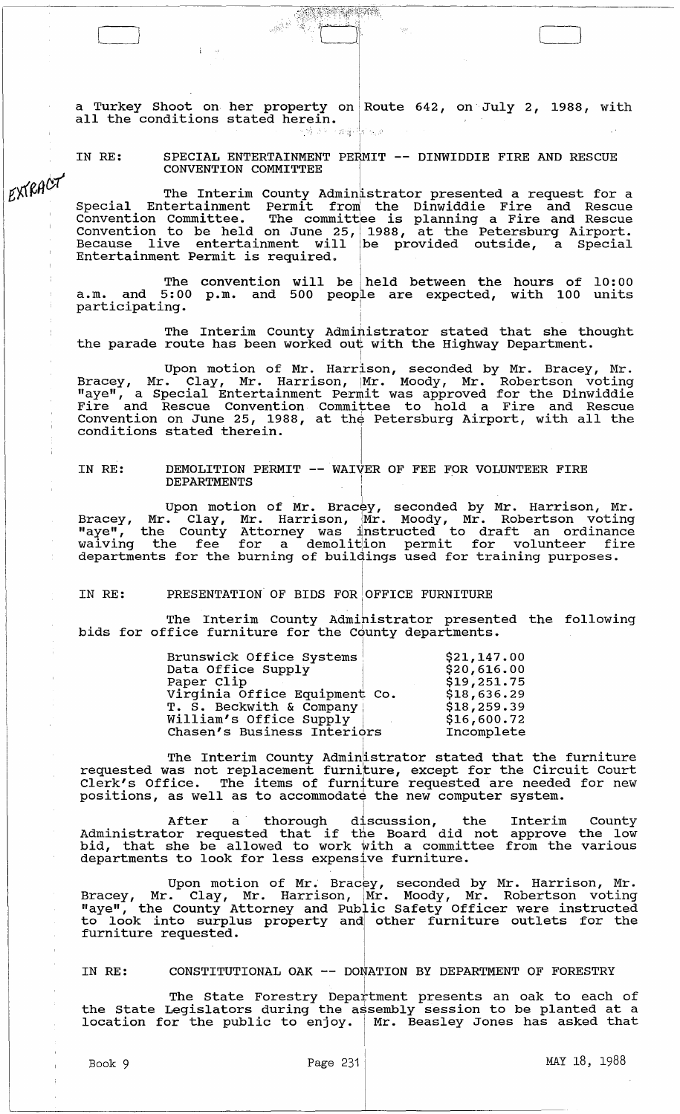a Turkey Shoot on her property on Route 642, on July 2, 1988, with all the conditions stated herein.  $\frac{1}{2}$  ,  $\frac{1}{2}$ ,  $\frac{1}{2}$ ,  $\frac{1}{2}$ ,  $\frac{1}{2}$ ,  $\frac{1}{2}$ ,  $\frac{1}{2}$ 

J  $\left[\begin{array}{ccc} 0 & \cdots & \cdots & \cdots \end{array}\right]$  , where  $\left[\begin{array}{ccc} 0 & \cdots & \cdots & \cdots \end{array}\right]$ 

, ,.~~?}f;~·,J;:::;~;:~t;~;·(?~;·:{~r:?r~~·¥~ ..

<sup>I</sup>IN RE: SPECIAL ENTERTAINMENT PERMIT **--** DINWIDDIE FIRE AND RESCUE CONVENTION COMMITTEE

EXTRACT

The Interim County Administrator presented a request for a Special Entertainment Permit from the Dinwiddie Fire and Rescue Convention Committee. The committee is planning a Fire and Rescue Convention to be held on June 25, 1988, at the Petersburg Airport. Because live entertainment will be provided outside, a special Entertainment Permit is required.

The convention will be held between the hours of  $10:00$ a.m. and 5:00 p.m. and 500 people are expected, with 100 units participating. <sup>I</sup>

i The Interim County Administrator stated that she thought the parade route has been worked out with the Highway Department.

I Upon motion of Mr. Harrison, seconded by Mr. Bracey, Mr. Bracey, Mr. Clay, Mr. Harrison, Mr. Moody, Mr. Robertson voting "aye", a Special Entertainment Permit was approved for the Dinwiddie Fire and Rescue Convention Committee to hold a Fire and Rescue The and Rescue convention committee to hold a rile and Rescue conditions stated therein.

IN RE: DEMOLITION PERMIT -- WAIVER OF FEE FOR VOLUNTEER FIRE DEPARTMENTS !

Upon motion of Mr. Bracey, seconded by Mr. Harrison, Mr. Bracey, Mr. Clay, Mr. Harrison, Mr. Moody, Mr. Robertson voting<br>"aye", the County Attorney was instructed to draft an ordinance waiving the fee for a demolition permit for volunteer fire warving the fee for a demorreron permit for vordneed in

I

IN RE: PRESENTATION OF BIDS FOR OFFICE FURNITURE

The Interim County Administrator presented the following bids for office furniture for the County departments.

| \$20,616.00<br>\$19,251.75<br>\$18,636.29<br>\$18,259.39<br>\$16,600.72<br>Incomplete |
|---------------------------------------------------------------------------------------|
|                                                                                       |

The Interim County Administrator stated that the furniture requested was not replacement furniture, except for the Circuit Court Clerk's Office. The items of furniture requested are needed for new positions, as well as to accommodate the new computer system.

After a thorough discussion, the Interim County<br>Administrator requested that if the Board did not approve the low huministrator requested that if the board did not<br>bid, that she be allowed to work with a committee departments to look for less expensive furniture. approve the low from the various

 $\mathbf{r}$ Upon motion of Mr. Bracey, seconded by Mr. Harrison, Mr. Bracey, Mr. Clay, Mr. Harrison, Mr. Moody, Mr. Robertson voting "aye", the County Attorney and Public Safety Officer were instructed to look into surplus property and other furniture outlets for the furniture requested.

<sup>I</sup>IN RE: CONSTITUTIONAL OAK **--** DONATION BY DEPARTMENT OF FORESTRY

The State Forestry Department presents an oak to each of the State Legislators during the assembly session to be planted at a location for the public to enjoy. | Mr. Beasley Jones has asked that

I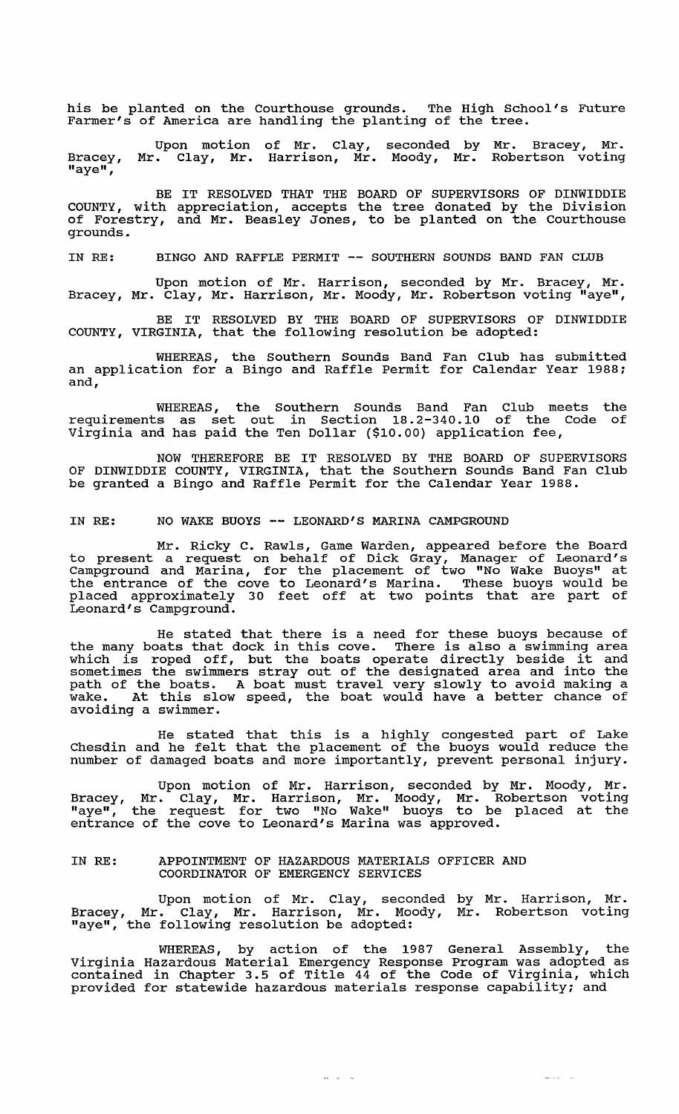his be planted on the Courthouse grounds. The High School's Future Farmer's of America are handling the planting of the tree.

Bracey,  $\overline{\mathbf{u}}$ aye $\mathbf{u}$ , Upon motion Mr. Clay, Mr. of Mr. Clay, Harrison, Mr. seconded by Moody, Mr. Mr. Bracey, Mr. Robertson voting

BE IT RESOLVED THAT THE BOARD OF SUPERVISORS OF DINWIDDIE COUNTY, with appreciation, accepts the tree donated by the Division of Forestry, and Mr. Beasley Jones, to be planted on the Courthouse grounds.

IN RE: BINGO AND RAFFLE PERMIT -- SOUTHERN SOUNDS BAND FAN CLUB

Upon motion of Mr. Harrison, seconded by Mr. Bracey, Mr. Bracey, Mr. Clay, Mr. Harrison, Mr. Moody, Mr. Robertson voting "aye",

BE IT RESOLVED BY THE BOARD OF SUPERVISORS OF DINWIDDIE COUNTY, VIRGINIA, that the following resolution be adopted:

WHEREAS, the Southern Sounds Band Fan Club has submitted an application for a Bingo and Raffle Permit for Calendar Year 1988; and,

WHEREAS, the Southern Sounds Band Fan Club meets the requirements as set out in section 18.2-340.10 of the Code of Virginia and has paid the Ten Dollar (\$10.00) application fee,

NOW THEREFORE BE IT RESOLVED BY THE BOARD OF SUPERVISORS OF DINWIDDIE COUNTY, VIRGINIA, that the Southern Sounds Band Fan Club be granted a Bingo and Raffle Permit for the Calendar Year 1988.

# IN RE: NO WAKE BUOYS -- LEONARD'S MARINA CAMPGROUND

Mr. Ricky C. Rawls, Game Warden, appeared before the Board to present a request on behalf of Dick Gray, Manager of Leonard's Campground and Marina, for the placement of two "No Wake Buoys" at the entrance of the cove to Leonard's Marina. These buoys would be placed approximately 30 feet off at two points that are part of Leonard's Campground.

He stated that there is a need for these buoys because of the many boats that dock in this cove. There is also a swimming area the many boats that dock in this cove. There is also a swimming area<br>which is roped off, but the boats operate directly beside it and sometimes the swimmers stray out of the designated area and into the path of the boats. A boat must travel very slowly to avoid making a path of the boats. A boat mast travel very slowly to avoid making a<br>wake. At this slow speed, the boat would have a better chance of avoiding a swimmer.

He stated that this is a highly congested part of Lake The stated that this is a highly congested part of have number of damaged boats and more importantly, prevent personal injury.

Upon motion of Mr. Harrison, seconded by Mr. Moody, Mr. Bracey, Mr. Clay, Mr. Harrison, Mr. Moody, Mr. Robertson voting "aye", in: Clay, in: harrison, in: hoody, in: hoosercoon vocing<br>"aye", the request for two "No Wake" buoys to be placed at the aje , the request for the no make subjected is

# IN RE: APPOINTMENT OF HAZARDOUS MATERIALS OFFICER AND COORDINATOR OF EMERGENCY SERVICES

Upon motion of Mr. Clay, seconded by Mr. Harrison, Mr. Bracey, Mr. Clay, Mr. Harrison, Mr. Moody, Mr. Robertson voting "aye", the following resolution be adopted:

WHEREAS, by action of the 1987 General Assembly, the Virginia Hazardous Material Emergency Response Program was adopted as contained in Chapter 3.5 of Title 44 of the Code of Virginia, which provided for statewide hazardous materials response capability; and

 $\omega$  ,  $\omega$  ,  $\omega$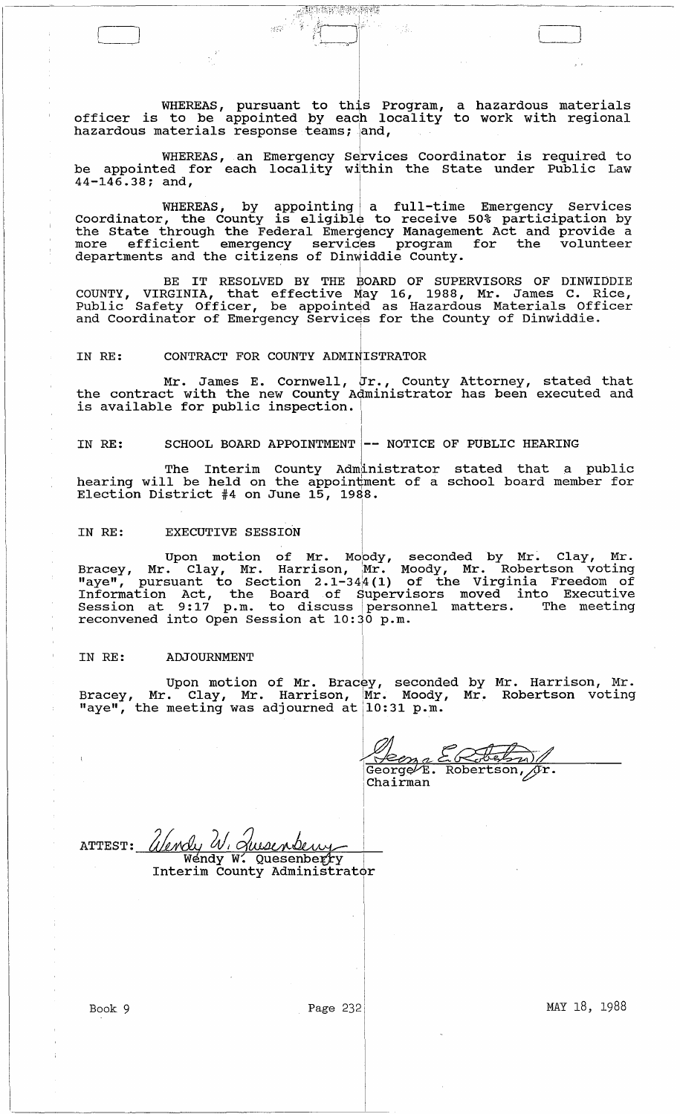WHEREAS, pursuant to this Program, a hazardous materials officer is to be appointed by each locality to work with regional hazardous materials response teams; and,

. :~::~j~;~:~~ %Jr~;~'·~~~~; Y1~-.~'f~~'

 $c_{\rm s}$  :  $i$   $\frac{1}{2}$   $\left[\begin{array}{c} 1 \ 1 \end{array} \right]$ 

WHEREAS, an Emergency Services Coordinator is required to be appointed for each locality within the State under Public Law  $44 - 146.38$ ; and,

WHEREAS, by appointing a full-time Emergency Services Coordinator, the County is eligible to receive 50% participation by the State through the Federal Emergency Management Act and provide a more efficient emergency services program for the volunteer departments and the citizens of Dinwiddie County.

BE IT RESOLVED BY THE BOARD OF SUPERVISORS OF DINWIDDIE COUNTY, VIRGINIA, that effective May 16, 1988, Mr. James C. Rice, Public Safety Officer, be appointed as Hazardous Materials Officer and Coordinator of Emergency Services for the County of Dinwiddie.

### IN RE: CONTRACT FOR COUNTY ADMINISTRATOR

Mr. James E. Cornwell, Jr., County Attorney, stated that the contract with the new County Administrator has been executed and is available for public inspection.

IN RE: SCHOOL BOARD APPOINTMENT  $\left|- -$  NOTICE OF PUBLIC HEARING

The Interim County Administrator stated that a public hearing will be held on the appointment of a school board member for Election District #4 on June  $15$ ,  $1988$ .

# IN RE: EXECUTIVE SESSION

Upon motion of Mr. Moody, seconded by Mr. Clay, Mr. Bracey, Mr. Clay, Mr. Harrison, Mr. Moody, Mr. Robertson voting "aye", pursuant to section 2 .1-341 4 (1) of the Virginia Freedom of Information Act, the Board of supervisors moved into Executive Information Act, the Board of Supervisors moved filed incontruction at 9:17 p.m. to discuss personnel matters. The meeting reconvened into Open Session at 10:30 p.m.

I

### IN RE: ADJOURNMENT

Upon motion of Mr. Bracey, seconded by Mr. Harrison, Mr. Bracey, Mr. Clay, Mr. Harrison, Mr. Moody, Mr. Robertson voting  $\begin{bmatrix} \text{Hence}_{Y}, & \text{Hif.} \\ \text{Hig.} \end{bmatrix}$  the meeting was adjourned at  $\begin{bmatrix} 10:31 & \text{p.m.} \\ \text{hif.} \end{bmatrix}$ 

<u>Xken e ERFELMIN</u><br>GeorgeVE. Robertson, jr.  $\sqrt{r}$ برسويكي Chairman

I ATTEST: *Ulendy W. Queenberry* Interim County Administrator